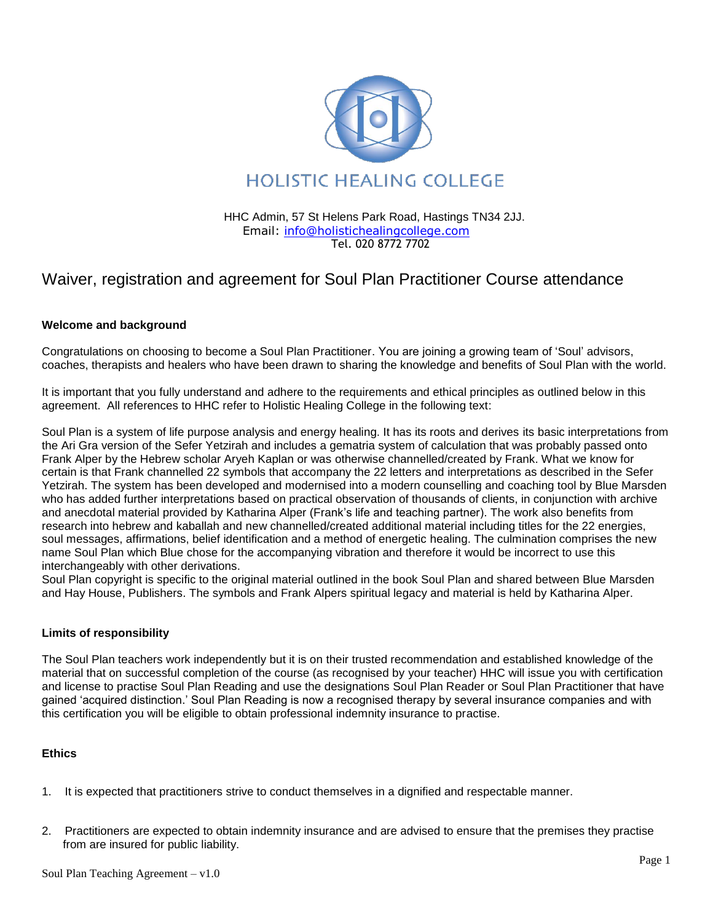

 HHC Admin, 57 St Helens Park Road, Hastings TN34 2JJ. Email: [info@holistichealingcollege.com](mailto:info@holistichealingcollege.com) Tel. 020 8772 7702

# Waiver, registration and agreement for Soul Plan Practitioner Course attendance

### **Welcome and background**

Congratulations on choosing to become a Soul Plan Practitioner. You are joining a growing team of 'Soul' advisors, coaches, therapists and healers who have been drawn to sharing the knowledge and benefits of Soul Plan with the world.

It is important that you fully understand and adhere to the requirements and ethical principles as outlined below in this agreement. All references to HHC refer to Holistic Healing College in the following text:

Soul Plan is a system of life purpose analysis and energy healing. It has its roots and derives its basic interpretations from the Ari Gra version of the Sefer Yetzirah and includes a gematria system of calculation that was probably passed onto Frank Alper by the Hebrew scholar Aryeh Kaplan or was otherwise channelled/created by Frank. What we know for certain is that Frank channelled 22 symbols that accompany the 22 letters and interpretations as described in the Sefer Yetzirah. The system has been developed and modernised into a modern counselling and coaching tool by Blue Marsden who has added further interpretations based on practical observation of thousands of clients, in conjunction with archive and anecdotal material provided by Katharina Alper (Frank's life and teaching partner). The work also benefits from research into hebrew and kaballah and new channelled/created additional material including titles for the 22 energies, soul messages, affirmations, belief identification and a method of energetic healing. The culmination comprises the new name Soul Plan which Blue chose for the accompanying vibration and therefore it would be incorrect to use this interchangeably with other derivations.

Soul Plan copyright is specific to the original material outlined in the book Soul Plan and shared between Blue Marsden and Hay House, Publishers. The symbols and Frank Alpers spiritual legacy and material is held by Katharina Alper.

### **Limits of responsibility**

The Soul Plan teachers work independently but it is on their trusted recommendation and established knowledge of the material that on successful completion of the course (as recognised by your teacher) HHC will issue you with certification and license to practise Soul Plan Reading and use the designations Soul Plan Reader or Soul Plan Practitioner that have gained 'acquired distinction.' Soul Plan Reading is now a recognised therapy by several insurance companies and with this certification you will be eligible to obtain professional indemnity insurance to practise.

### **Ethics**

- 1. It is expected that practitioners strive to conduct themselves in a dignified and respectable manner.
- 2. Practitioners are expected to obtain indemnity insurance and are advised to ensure that the premises they practise from are insured for public liability.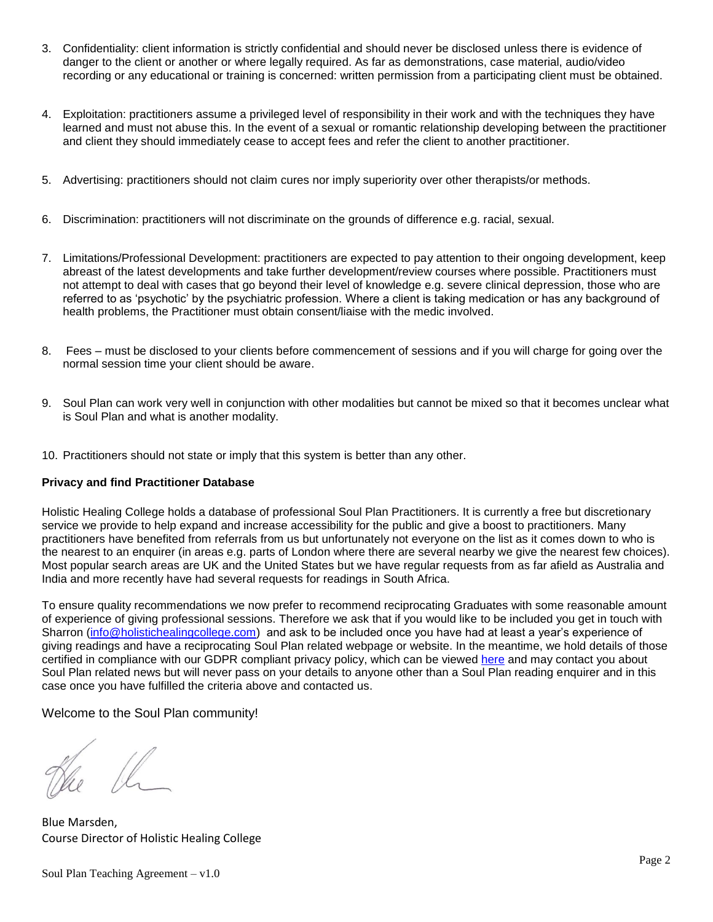- 3. Confidentiality: client information is strictly confidential and should never be disclosed unless there is evidence of danger to the client or another or where legally required. As far as demonstrations, case material, audio/video recording or any educational or training is concerned: written permission from a participating client must be obtained.
- 4. Exploitation: practitioners assume a privileged level of responsibility in their work and with the techniques they have learned and must not abuse this. In the event of a sexual or romantic relationship developing between the practitioner and client they should immediately cease to accept fees and refer the client to another practitioner.
- 5. Advertising: practitioners should not claim cures nor imply superiority over other therapists/or methods.
- 6. Discrimination: practitioners will not discriminate on the grounds of difference e.g. racial, sexual.
- 7. Limitations/Professional Development: practitioners are expected to pay attention to their ongoing development, keep abreast of the latest developments and take further development/review courses where possible. Practitioners must not attempt to deal with cases that go beyond their level of knowledge e.g. severe clinical depression, those who are referred to as 'psychotic' by the psychiatric profession. Where a client is taking medication or has any background of health problems, the Practitioner must obtain consent/liaise with the medic involved.
- 8. Fees must be disclosed to your clients before commencement of sessions and if you will charge for going over the normal session time your client should be aware.
- 9. Soul Plan can work very well in conjunction with other modalities but cannot be mixed so that it becomes unclear what is Soul Plan and what is another modality.
- 10. Practitioners should not state or imply that this system is better than any other.

### **Privacy and find Practitioner Database**

Holistic Healing College holds a database of professional Soul Plan Practitioners. It is currently a free but discretionary service we provide to help expand and increase accessibility for the public and give a boost to practitioners. Many practitioners have benefited from referrals from us but unfortunately not everyone on the list as it comes down to who is the nearest to an enquirer (in areas e.g. parts of London where there are several nearby we give the nearest few choices). Most popular search areas are UK and the United States but we have regular requests from as far afield as Australia and India and more recently have had several requests for readings in South Africa.

To ensure quality recommendations we now prefer to recommend reciprocating Graduates with some reasonable amount of experience of giving professional sessions. Therefore we ask that if you would like to be included you get in touch with Sharron [\(info@holistichealingcollege.com\)](mailto:info@holistichealingcollege.com) and ask to be included once you have had at least a year's experience of giving readings and have a reciprocating Soul Plan related webpage or website. In the meantime, we hold details of those certified in compliance with our GDPR compliant privacy policy, which can be viewed [here](https://www.healingcollege.co.uk/holistic/50/About-Us/Privacy-and-data-policy.html) and may contact you about Soul Plan related news but will never pass on your details to anyone other than a Soul Plan reading enquirer and in this case once you have fulfilled the criteria above and contacted us.

Welcome to the Soul Plan community!

 $\frac{1}{2}$ 

Blue Marsden, Course Director of Holistic Healing College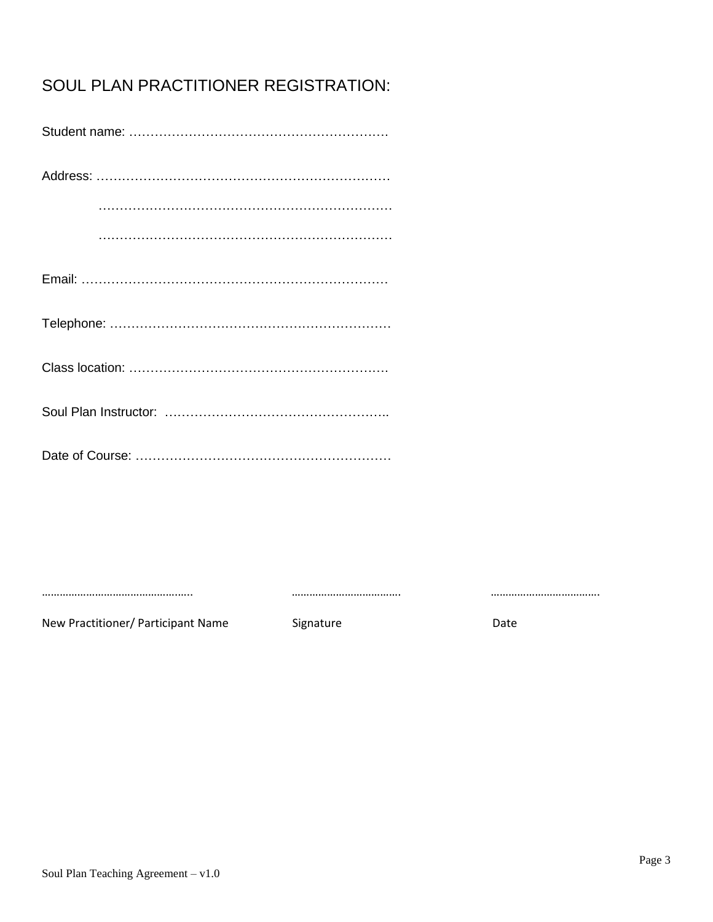# SOUL PLAN PRACTITIONER REGISTRATION:

New Practitioner/ Participant Name Signature Signature Date

……………………………………….….. ………………………………. ……………………………….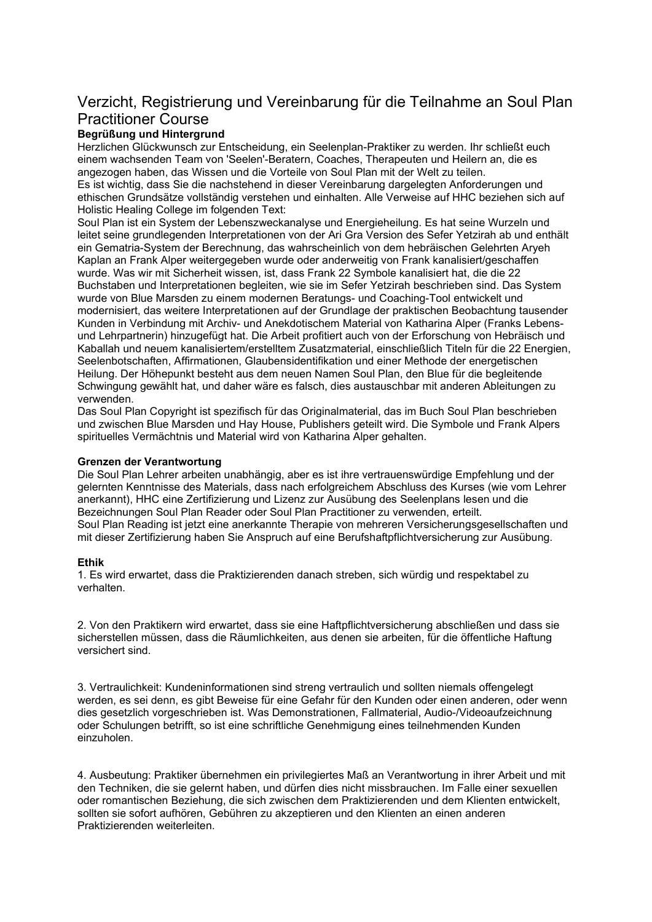# Verzicht, Registrierung und Vereinbarung für die Teilnahme an Soul Plan Practitioner Course

## Begrüßung und Hintergrund

Herzlichen Glückwunsch zur Entscheidung, ein Seelenplan-Praktiker zu werden. Ihr schließt euch einem wachsenden Team von 'Seelen'-Beratern, Coaches, Therapeuten und Heilern an, die es angezogen haben, das Wissen und die Vorteile von Soul Plan mit der Welt zu teilen. Es ist wichtig, dass Sie die nachstehend in dieser Vereinbarung dargelegten Anforderungen und ethischen Grundsätze vollständig verstehen und einhalten. Alle Verweise auf HHC beziehen sich auf Holistic Healing College im folgenden Text:

Soul Plan ist ein System der Lebenszweckanalyse und Energieheilung. Es hat seine Wurzeln und leitet seine grundlegenden Interpretationen von der Ari Gra Version des Sefer Yetzirah ab und enthält ein Gematria-System der Berechnung, das wahrscheinlich von dem hebräischen Gelehrten Aryeh Kaplan an Frank Alper weitergegeben wurde oder anderweitig von Frank kanalisiert/geschaffen wurde. Was wir mit Sicherheit wissen, ist, dass Frank 22 Symbole kanalisiert hat, die die 22 Buchstaben und Interpretationen begleiten, wie sie im Sefer Yetzirah beschrieben sind. Das System wurde von Blue Marsden zu einem modernen Beratungs- und Coaching-Tool entwickelt und modernisiert, das weitere Interpretationen auf der Grundlage der praktischen Beobachtung tausender Kunden in Verbindung mit Archiv- und Anekdotischem Material von Katharina Alper (Franks Lebensund Lehrpartnerin) hinzugefügt hat. Die Arbeit profitiert auch von der Erforschung von Hebräisch und Kaballah und neuem kanalisiertem/erstelltem Zusatzmaterial, einschließlich Titeln für die 22 Energien, Seelenbotschaften, Affirmationen, Glaubensidentifikation und einer Methode der energetischen Heilung. Der Höhepunkt besteht aus dem neuen Namen Soul Plan, den Blue für die begleitende Schwingung gewählt hat, und daher wäre es falsch, dies austauschbar mit anderen Ableitungen zu verwenden.

Das Soul Plan Copyright ist spezifisch für das Originalmaterial, das im Buch Soul Plan beschrieben und zwischen Blue Marsden und Hay House, Publishers geteilt wird. Die Symbole und Frank Alpers spirituelles Vermächtnis und Material wird von Katharina Alper gehalten.

### Grenzen der Verantwortung

Die Soul Plan Lehrer arbeiten unabhängig, aber es ist ihre vertrauenswürdige Empfehlung und der gelernten Kenntnisse des Materials, dass nach erfolgreichem Abschluss des Kurses (wie vom Lehrer anerkannt), HHC eine Zertifizierung und Lizenz zur Ausübung des Seelenplans lesen und die Bezeichnungen Soul Plan Reader oder Soul Plan Practitioner zu verwenden, erteilt. Soul Plan Reading ist jetzt eine anerkannte Therapie von mehreren Versicherungsgesellschaften und mit dieser Zertifizierung haben Sie Anspruch auf eine Berufshaftpflichtversicherung zur Ausübung.

### Ethik

1. Es wird erwartet, dass die Praktizierenden danach streben, sich würdig und respektabel zu verhalten.

2. Von den Praktikern wird erwartet, dass sie eine Haftpflichtversicherung abschließen und dass sie sicherstellen müssen, dass die Räumlichkeiten, aus denen sie arbeiten, für die öffentliche Haftung versichert sind.

3. Vertraulichkeit: Kundeninformationen sind streng vertraulich und sollten niemals offengelegt werden, es sei denn, es gibt Beweise für eine Gefahr für den Kunden oder einen anderen, oder wenn dies gesetzlich vorgeschrieben ist. Was Demonstrationen, Fallmaterial, Audio-/Videoaufzeichnung oder Schulungen betrifft, so ist eine schriftliche Genehmigung eines teilnehmenden Kunden einzuholen.

4. Ausbeutung: Praktiker übernehmen ein privilegiertes Maß an Verantwortung in ihrer Arbeit und mit den Techniken, die sie gelernt haben, und dürfen dies nicht missbrauchen. Im Falle einer sexuellen oder romantischen Beziehung, die sich zwischen dem Praktizierenden und dem Klienten entwickelt, sollten sie sofort aufhören, Gebühren zu akzeptieren und den Klienten an einen anderen Praktizierenden weiterleiten.